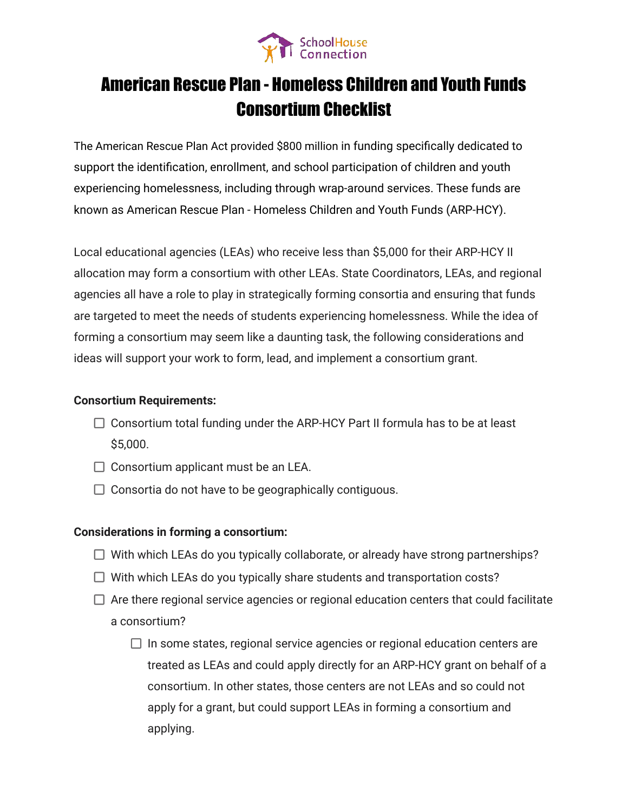

# American Rescue Plan - Homeless Children and Youth Funds Consortium Checklist

The American Rescue Plan Act provided \$800 million in funding specifically dedicated to support the identification, enrollment, and school participation of children and youth experiencing homelessness, including through wrap-around services. These funds are known as American Rescue Plan - Homeless Children and Youth Funds (ARP-HCY).

Local educational agencies (LEAs) who receive less than \$5,000 for their ARP-HCY II allocation may form a consortium with other LEAs. State Coordinators, LEAs, and regional agencies all have a role to play in strategically forming consortia and ensuring that funds are targeted to meet the needs of students experiencing homelessness. While the idea of forming a consortium may seem like a daunting task, the following considerations and ideas will support your work to form, lead, and implement a consortium grant.

### **Consortium Requirements:**

- $\Box$  Consortium total funding under the ARP-HCY Part II formula has to be at least \$5,000.
- $\Box$  Consortium applicant must be an LEA.
- $\Box$  Consortia do not have to be geographically contiguous.

# **Considerations in forming a consortium:**

- $\Box$  With which LEAs do you typically collaborate, or already have strong partnerships?
- $\Box$  With which LEAs do you typically share students and transportation costs?
- $\Box$  Are there regional service agencies or regional education centers that could facilitate a consortium?
	- $\Box$  In some states, regional service agencies or regional education centers are treated as LEAs and could apply directly for an ARP-HCY grant on behalf of a consortium. In other states, those centers are not LEAs and so could not apply for a grant, but could support LEAs in forming a consortium and applying.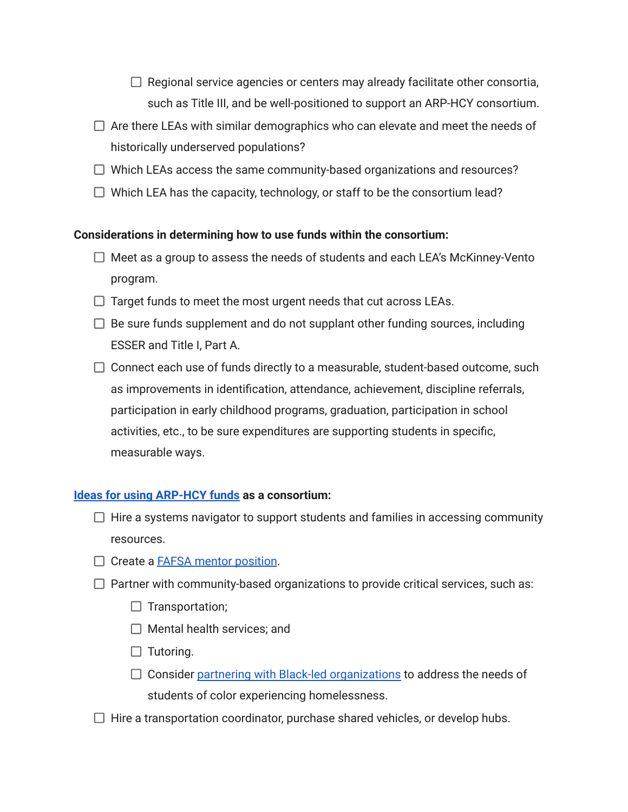$\Box$  Regional service agencies or centers may already facilitate other consortia, such as Title III, and be well-positioned to support an ARP-HCY consortium.

- $\Box$  Are there LEAs with similar demographics who can elevate and meet the needs of historically underserved populations?
- $\Box$  Which LEAs access the same community-based organizations and resources?
- $\Box$  Which LEA has the capacity, technology, or staff to be the consortium lead?

# **Considerations in determining how to use funds within the consortium:**

- $\Box$  Meet as a group to assess the needs of students and each LEA's McKinney-Vento program.
- $\Box$  Target funds to meet the most urgent needs that cut across LEAs.
- $\Box$  Be sure funds supplement and do not supplant other funding sources, including ESSER and Title I, Part A.
- $\Box$  Connect each use of funds directly to a measurable, student-based outcome, such as improvements in identification, attendance, achievement, discipline referrals, participation in early childhood programs, graduation, participation in school activities, etc., to be sure expenditures are supporting students in specific, measurable ways.

# **[Ideas for using ARP-HCY funds](https://schoolhouseconnection.org/how-to-use-arp-funds/) as a consortium:**

- $\Box$  Hire a systems navigator to support students and families in accessing community resources.
- $\Box$  Create a **FAFSA** mentor position.
- $\Box$  Partner with community-based organizations to provide critical services, such as:
	- $\Box$  Transportation;
	- $\Box$  Mental health services; and
	- $\Box$  Tutoring.
	- $\Box$  Consider [partnering with Black-led organizations](https://schoolhouseconnection.org/partnering-with-black-cbos-to-address-student-homelessness/) to address the needs of students of color experiencing homelessness.
- $\Box$  Hire a transportation coordinator, purchase shared vehicles, or develop hubs.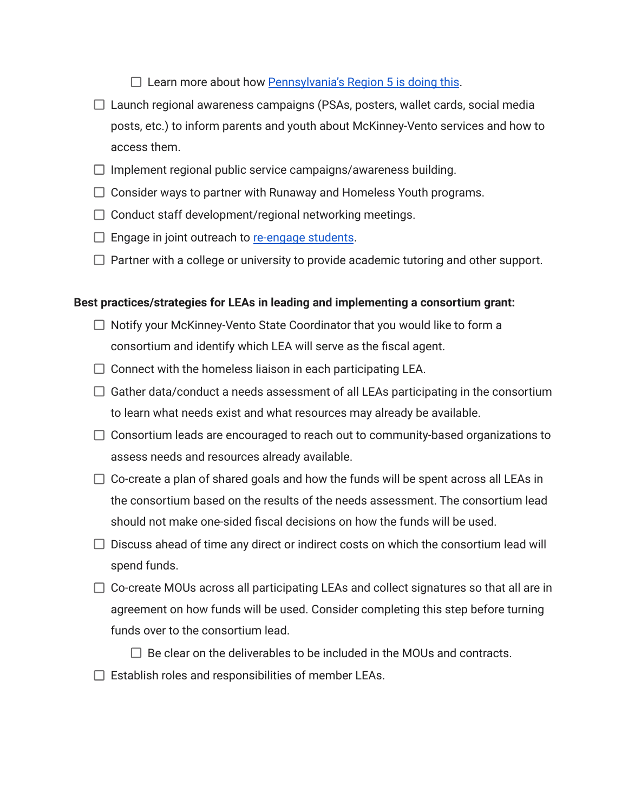$\square$  Learn more about how [Pennsylvania's Region 5 is doing this](https://drive.google.com/file/d/1bZ_LROXv4yAotuUxYxNSbw-7UUtOvVQ1/view?usp=sharing).

- $\Box$  Launch regional awareness campaigns (PSAs, posters, wallet cards, social media posts, etc.) to inform parents and youth about McKinney-Vento services and how to access them.
- $\Box$  Implement regional public service campaigns/awareness building.
- $\Box$  Consider ways to partner with Runaway and Homeless Youth programs.
- $\Box$  Conduct staff development/regional networking meetings.
- $\Box$  Engage in joint outreach to [re-engage students](https://schoolhouseconnection.org/engaging-and-re-engaging-students-conversations-with-three-homeless-liaisons/).
- $\Box$  Partner with a college or university to provide academic tutoring and other support.

# **Best practices/strategies for LEAs in leading and implementing a consortium grant:**

- $\Box$  Notify your McKinney-Vento State Coordinator that you would like to form a consortium and identify which LEA will serve as the fiscal agent.
- $\Box$  Connect with the homeless liaison in each participating LEA.
- $\Box$  Gather data/conduct a needs assessment of all LEAs participating in the consortium to learn what needs exist and what resources may already be available.
- $\Box$  Consortium leads are encouraged to reach out to community-based organizations to assess needs and resources already available.
- $\Box$  Co-create a plan of shared goals and how the funds will be spent across all LEAs in the consortium based on the results of the needs assessment. The consortium lead should not make one-sided fiscal decisions on how the funds will be used.
- $\Box$  Discuss ahead of time any direct or indirect costs on which the consortium lead will spend funds.
- $\Box$  Co-create MOUs across all participating LEAs and collect signatures so that all are in agreement on how funds will be used. Consider completing this step before turning funds over to the consortium lead.
	- $\Box$  Be clear on the deliverables to be included in the MOUs and contracts.
- $\Box$  Establish roles and responsibilities of member LEAs.